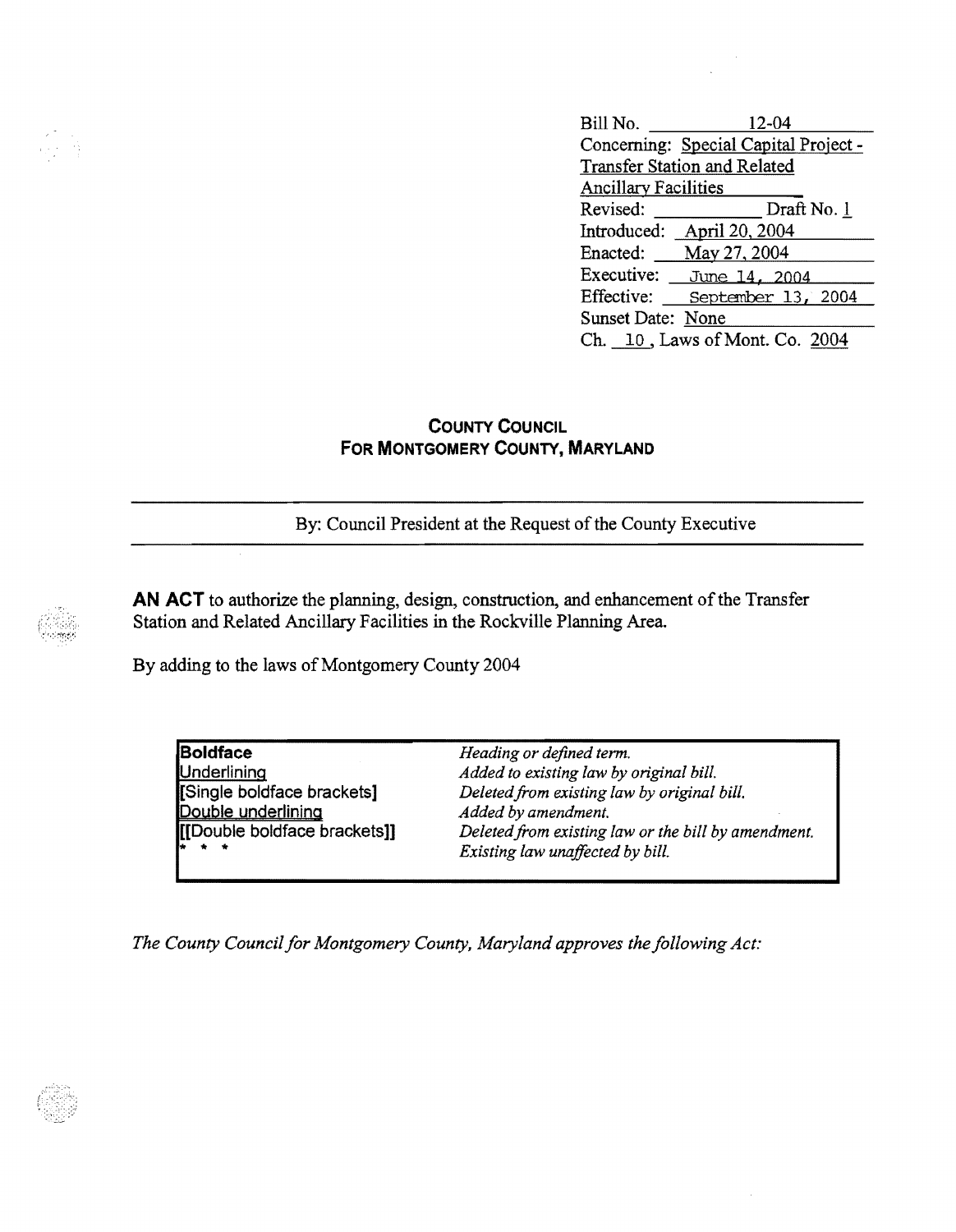Bill No. <u>\_\_\_\_\_\_\_\_\_\_</u> 12-04 Concerning: Special Capital Project Transfer Station and Related Ancillary Facilities Revised: Draft No. 1 Introduced: April 20, 2004 Enacted: May 27,2004 Executive: June 14, 2004 Effective: <u>September 13, 2004</u><br>Sunset Date: <u>None</u> Ch. 10, Laws of Mont. Co. 2004

## **COUNTY CoUNCIL FOR MONTGOMERY COUNTY, MARYLAND**

By: Council President at the Request of the County Executive

**AN ACT** to authorize the planning, design, construction, and enhancement of the Transfer Station and Related Ancillary Facilities in the Rockville Planning Area

By adding to the laws of Montgomery County 2004

| <b>Boldface</b>              | Heading or defined term.                            |
|------------------------------|-----------------------------------------------------|
| <b>Underlining</b>           | Added to existing law by original bill.             |
| [Single boldface brackets]   | Deleted from existing law by original bill.         |
| Double underlining           | Added by amendment.                                 |
| [[Double boldface brackets]] | Deleted from existing law or the bill by amendment. |
| $\mathbf{r}$ + +             | Existing law unaffected by bill.                    |
|                              |                                                     |

*The County Council for Montgomery County, Maryland approves the following Act:*